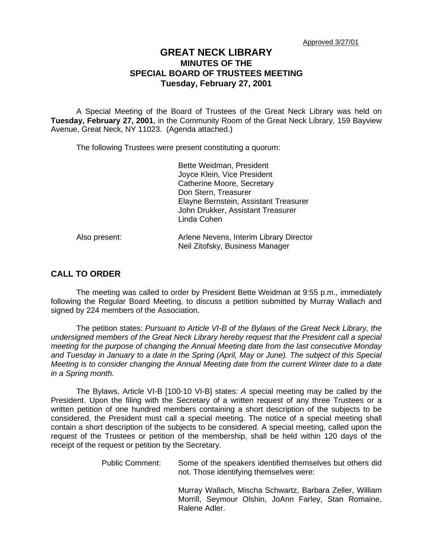## **GREAT NECK LIBRARY MINUTES OF THE SPECIAL BOARD OF TRUSTEES MEETING Tuesday, February 27, 2001**

A Special Meeting of the Board of Trustees of the Great Neck Library was held on **Tuesday, February 27, 2001**, in the Community Room of the Great Neck Library, 159 Bayview Avenue, Great Neck, NY 11023. (Agenda attached.)

The following Trustees were present constituting a quorum:

|               | Bette Weidman, President<br>Joyce Klein, Vice President<br>Catherine Moore, Secretary                             |
|---------------|-------------------------------------------------------------------------------------------------------------------|
|               | Don Stern, Treasurer<br>Elayne Bernstein, Assistant Treasurer<br>John Drukker, Assistant Treasurer<br>Linda Cohen |
| Also present: | Arlene Nevens, Interim Library Director                                                                           |

Neil Zitofsky, Business Manager

## **CALL TO ORDER**

The meeting was called to order by President Bette Weidman at 9:55 p.m., immediately following the Regular Board Meeting, to discuss a petition submitted by Murray Wallach and signed by 224 members of the Association.

The petition states: *Pursuant to Article VI-B of the Bylaws of the Great Neck Library, the undersigned members of the Great Neck Library hereby request that the President call a special meeting for the purpose of changing the Annual Meeting date from the last consecutive Monday*  and Tuesday in January to a date in the Spring (April, May or June). The subject of this Special *Meeting is to consider changing the Annual Meeting date from the current Winter date to a date in a Spring month.* 

The Bylaws, Article VI-B [100-10 VI-B] states: *A* special meeting may be called by the President. Upon the filing with the Secretary of a written request of any three Trustees or a written petition of one hundred members containing a short description of the subjects to be considered, the President must call a special meeting. The notice of a special meeting shall contain a short description of the subjects to be considered. A special meeting, called upon the request of the Trustees or petition of the membership, shall be held within 120 days of the receipt of the request or petition by the Secretary.

> Public Comment: Some of the speakers identified themselves but others did not. Those identifying themselves were:

> > Murray Wallach, Mischa Schwartz, Barbara Zeller, William Morrill, Seymour Olshin, JoAnn Farley, Stan Romaine, Ralene Adler.